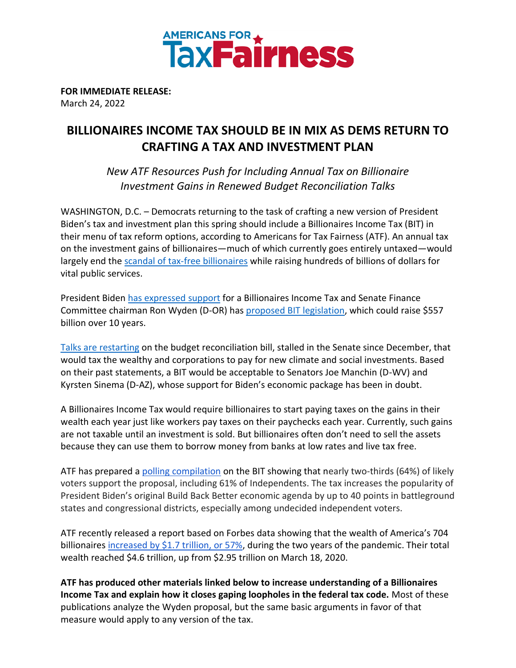

**FOR IMMEDIATE RELEASE:** March 24, 2022

## **BILLIONAIRES INCOME TAX SHOULD BE IN MIX AS DEMS RETURN TO CRAFTING A TAX AND INVESTMENT PLAN**

*New ATF Resources Push for Including Annual Tax on Billionaire Investment Gains in Renewed Budget Reconciliation Talks* 

WASHINGTON, D.C. – Democrats returning to the task of crafting a new version of President Biden's tax and investment plan this spring should include a Billionaires Income Tax (BIT) in their menu of tax reform options, according to Americans for Tax Fairness (ATF). An annual tax on the investment gains of billionaires—much of which currently goes entirely untaxed—would largely end the [scandal of tax-free billionaires](https://americansfortaxfairness.org/issue/summary-propublicas-report-billionaire-tax-dodgers/) while raising hundreds of billions of dollars for vital public services.

President Bide[n has expressed support](https://www.wsj.com/articles/biden-expresses-support-forannual-tax-on-billionaires-unrealized-gains-11632498487) for a Billionaires Income Tax and Senate Finance Committee chairman Ron Wyden (D-OR) has [proposed BIT legislation,](https://americansfortaxfairness.org/issue/senator-ron-wydens-billionaires-income-tax-need/) which could raise \$557 billion over 10 years.

[Talks are restarting](https://www.eenews.net/articles/sources-manchin-ready-to-engage-on-reconciliation/) on the budget reconciliation bill, stalled in the Senate since December, that would tax the wealthy and corporations to pay for new climate and social investments. Based on their past statements, a BIT would be acceptable to Senators Joe Manchin (D-WV) and Kyrsten Sinema (D-AZ), whose support for Biden's economic package has been in doubt.

A Billionaires Income Tax would require billionaires to start paying taxes on the gains in their wealth each year just like workers pay taxes on their paychecks each year. Currently, such gains are not taxable until an investment is sold. But billionaires [often don't need to sell the assets](https://www.forbes.com/sites/robertfarrington/2021/09/13/how-ordinary-americans-can-also-buy-borrow-and-die-without-paying-taxes/) because they can use them to borrow money from banks at low rates and live tax free.

ATF has prepared a [polling compilation](https://docs.google.com/document/d/1AhWvucOLV2qY6izLkZvHpPig6DDmdFaCbmeM-5E65Xw/edit?usp=sharing) on the BIT showing that nearly two-thirds (64%) of likely voters support the proposal, including 61% of Independents. The tax increases the popularity of President Biden's original Build Back Better economic agenda by up to 40 points in battleground states and congressional districts, especially among undecided independent voters.

ATF recently released a report based on Forbes data showing that the wealth of America's 704 billionaires [increased by \\$1.7 trillion, or 57%,](https://americansfortaxfairness.org/issue/2-years-covid-u-s-billionaires-1-7-trillion-57-richer/) during the two years of the pandemic. Their total wealth reached \$4.6 trillion, up from \$2.95 trillion on March 18, 2020.

**ATF has produced other materials linked below to increase understanding of a Billionaires Income Tax and explain how it closes gaping loopholes in the federal tax code.** Most of these publications analyze the Wyden proposal, but the same basic arguments in favor of that measure would apply to any version of the tax.